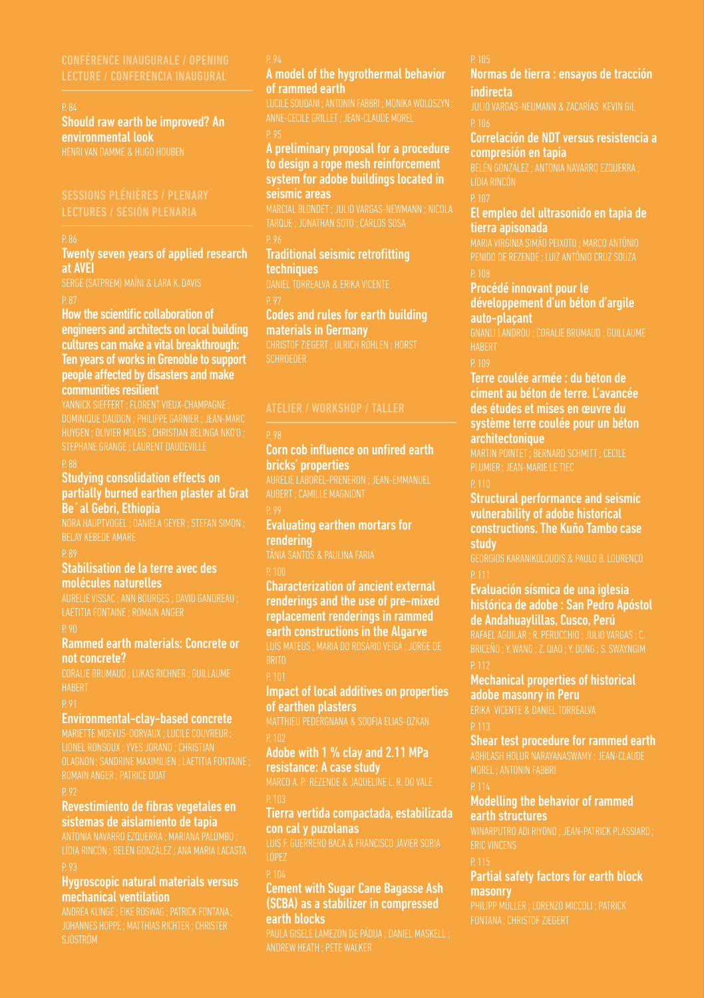### P. 84

Should raw earth be improved? An environmental look

Twenty seven years of applied research at AVEI

How the scientific collaboration of engineers and architects on local building cultures can make a vital breakthrough: Ten years of works in Grenoble to support people affected by disasters and make communities resilient

### Studying consolidation effects on partially burned earthen plaster at Grat Be´al Gebri, Ethiopia

BELAY KEBEDE AMARE

Stabilisation de la terre avec des molécules naturelles

### Rammed earth materials: Concrete or not concrete?

### Environmental-clay-based concrete

### Revestimiento de fibras vegetales en sistemas de aislamiento de tapia

### Hygroscopic natural materials versus mechanical ventilation

### A model of the hygrothermal behavior of rammed earth

ANNE-CECILE GRILLET ; JEAN-CLAUDE MOREL

### A preliminary proposal for a procedure to design a rope mesh reinforcement system for adobe buildings located in seismic areas

### Traditional seismic retrofitting techniques

### Codes and rules for earth building materials in Germany

### Corn cob influence on unfired earth bricks' properties

### Evaluating earthen mortars for rendering

Characterization of ancient external renderings and the use of pre-mixed replacement renderings in rammed earth constructions in the Algarve

### Impact of local additives on properties of earthen plasters

### Adobe with 1 % clay and 2.11 MPa resistance: A case study

### Tierra vertida compactada, estabilizada con cal y puzolanas

LUIS F. GUERRERO BACA & FRANCISCO JAVIER SORIA

### Cement with Sugar Cane Bagasse Ash (SCBA) as a stabilizer in compressed earth blocks

### Normas de tierra : ensayos de tracción indirecta

### Correlación de NDT versus resistencia a compresión en tapia

### El empleo del ultrasonido en tapia de tierra apisonada

### Procédé innovant pour le développement d'un béton d'argile auto-plaçant

### Terre coulée armée : du béton de ciment au béton de terre. L'avancée des études et mises en œuvre du système terre coulée pour un béton architectonique

Structural performance and seismic vulnerability of adobe historical constructions. The Kuño Tambo case study

### Evaluación sísmica de una iglesia histórica de adobe : San Pedro Apóstol de Andahuaylillas, Cusco, Perú

### Mechanical properties of historical adobe masonry in Peru

ERIKA VICENTE & DANIEL TORREALVA

### Shear test procedure for rammed earth ABHILASH HOLUR NARAYANASWAMY ; JEAN-CLAUDE

### Modelling the behavior of rammed earth structures

WINARPUTRO ADI RIYONO ; JEAN-PATRICK PLASSIARD;

Partial safety factors for earth block masonry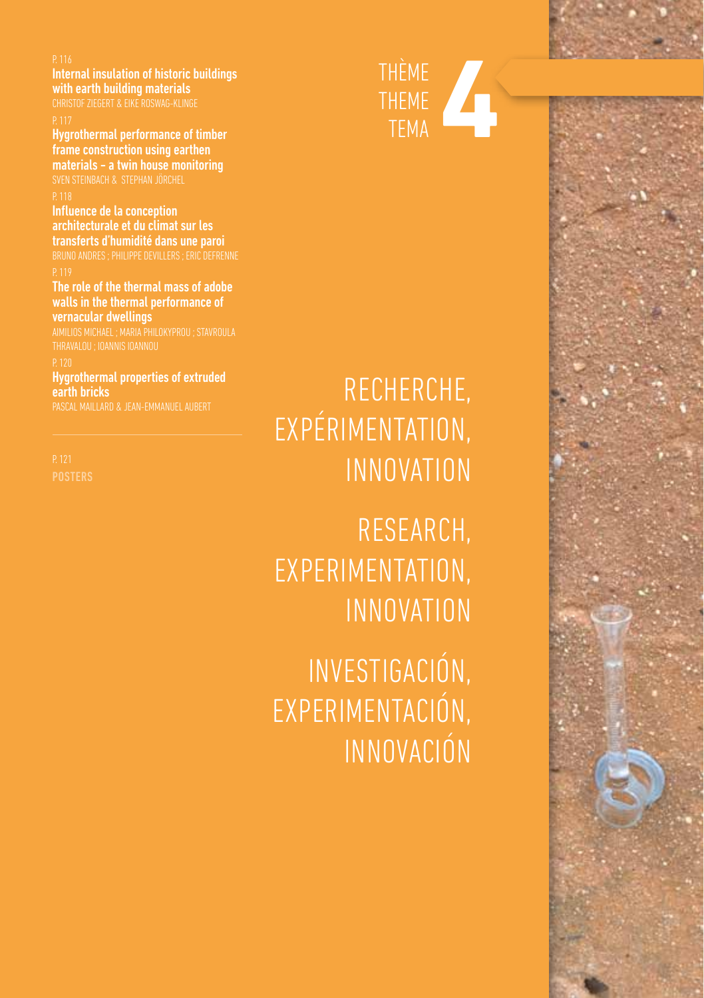Internal insulation of historic buildings with earth building materials

CHRISTOF ZIEGERT & EIKE ROSWAG-KLINGE

P. 117<br>**Hygrothermal performance of timber** frame construction using earthen materials - a twin house monitoring SVEN STEINBACH & STEPHAN JÖRCHEL

<sup>P. 118</sup><br>I<mark>nfluence de la conception</mark> architecturale et du climat sur les transferts d'humidité dans une paroi BRUNO ANDRES ; PHILIPPE DEVILLERS ; ERIC DEFRENNE

P. 119<br><mark>The role of the thermal mass of adobe</mark> walls in the thermal performance of vernacular dwellings

Hygrothermal properties of extruded earth bricks PASCAL MAILLARD & JEAN-EMMANUEL AUBERT



# RECHERCHE, EXPÉRIMENTATION, INNOVATION

Research, experimentation, innovation

Investigación, experimentación, innovación